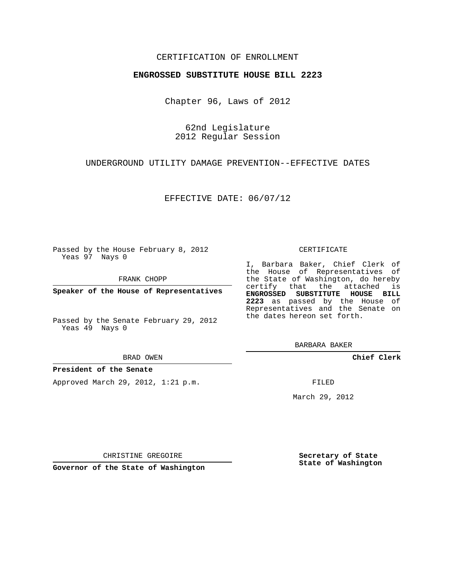## CERTIFICATION OF ENROLLMENT

### **ENGROSSED SUBSTITUTE HOUSE BILL 2223**

Chapter 96, Laws of 2012

62nd Legislature 2012 Regular Session

## UNDERGROUND UTILITY DAMAGE PREVENTION--EFFECTIVE DATES

## EFFECTIVE DATE: 06/07/12

Passed by the House February 8, 2012 Yeas 97 Nays 0

FRANK CHOPP

**Speaker of the House of Representatives**

Passed by the Senate February 29, 2012 Yeas 49 Nays 0

#### BRAD OWEN

### **President of the Senate**

Approved March 29, 2012, 1:21 p.m.

#### CERTIFICATE

I, Barbara Baker, Chief Clerk of the House of Representatives of the State of Washington, do hereby certify that the attached is **ENGROSSED SUBSTITUTE HOUSE BILL 2223** as passed by the House of Representatives and the Senate on the dates hereon set forth.

BARBARA BAKER

**Chief Clerk**

FILED

March 29, 2012

CHRISTINE GREGOIRE

**Governor of the State of Washington**

**Secretary of State State of Washington**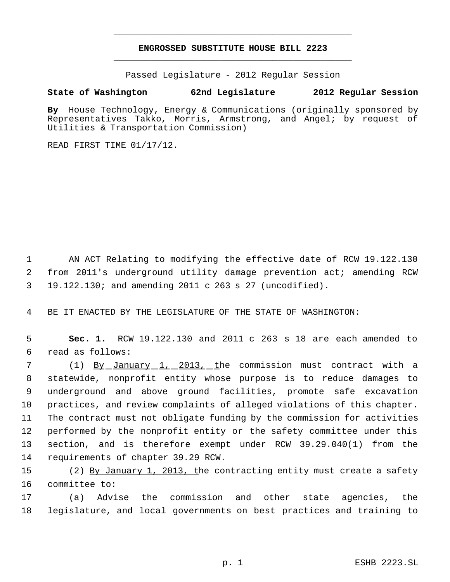# **ENGROSSED SUBSTITUTE HOUSE BILL 2223** \_\_\_\_\_\_\_\_\_\_\_\_\_\_\_\_\_\_\_\_\_\_\_\_\_\_\_\_\_\_\_\_\_\_\_\_\_\_\_\_\_\_\_\_\_

\_\_\_\_\_\_\_\_\_\_\_\_\_\_\_\_\_\_\_\_\_\_\_\_\_\_\_\_\_\_\_\_\_\_\_\_\_\_\_\_\_\_\_\_\_

Passed Legislature - 2012 Regular Session

# **State of Washington 62nd Legislature 2012 Regular Session**

**By** House Technology, Energy & Communications (originally sponsored by Representatives Takko, Morris, Armstrong, and Angel; by request of Utilities & Transportation Commission)

READ FIRST TIME 01/17/12.

1 AN ACT Relating to modifying the effective date of RCW 19.122.130 2 from 2011's underground utility damage prevention act; amending RCW 3 19.122.130; and amending 2011 c 263 s 27 (uncodified).

4 BE IT ENACTED BY THE LEGISLATURE OF THE STATE OF WASHINGTON:

 5 **Sec. 1.** RCW 19.122.130 and 2011 c 263 s 18 are each amended to 6 read as follows:

7 (1) <u>By January 1, 2013, t</u>he commission must contract with a statewide, nonprofit entity whose purpose is to reduce damages to underground and above ground facilities, promote safe excavation practices, and review complaints of alleged violations of this chapter. The contract must not obligate funding by the commission for activities performed by the nonprofit entity or the safety committee under this section, and is therefore exempt under RCW 39.29.040(1) from the requirements of chapter 39.29 RCW.

15 (2) By January 1, 2013, the contracting entity must create a safety 16 committee to:

17 (a) Advise the commission and other state agencies, the 18 legislature, and local governments on best practices and training to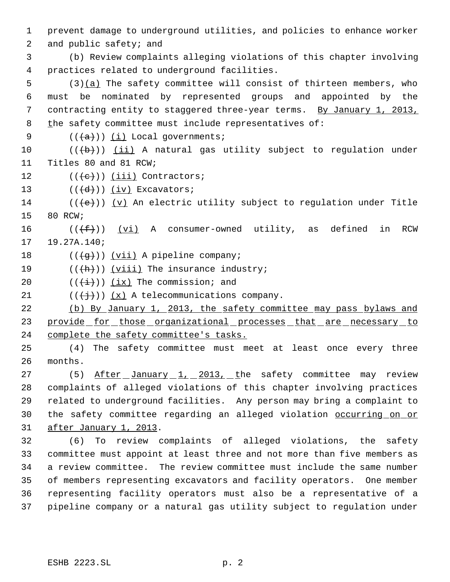1 prevent damage to underground utilities, and policies to enhance worker

2 and public safety; and

 3 (b) Review complaints alleging violations of this chapter involving 4 practices related to underground facilities.

 5 (3)(a) The safety committee will consist of thirteen members, who 6 must be nominated by represented groups and appointed by the 7 contracting entity to staggered three-year terms. By January 1, 2013, 8 the safety committee must include representatives of:

9  $((\overline{a}))(\underline{i})$  Local governments;

10  $((+b))$   $(ii)$  A natural gas utility subject to regulation under 11 Titles 80 and 81 RCW;

12  $((e))$   $(iii)$  Contractors;

13  $((\overline{d})) (\underline{iv})$  Excavators;

14 ( $(\langle e \rangle)$ ) (v) An electric utility subject to regulation under Title 15 80 RCW;

16 ( $(\{\pm\})$ ) (vi) A consumer-owned utility, as defined in RCW 17 19.27A.140;

18  $((\overline{g}))$   $(vii)$  A pipeline company;

- 19  $((\overleftrightarrow{h}))$  ( $viii)$ ) The insurance industry;
- 20  $((\overleftrightarrow{t}))$   $(ix)$  The commission; and
- 21  $((\overleftrightarrow{f})) (x)$  A telecommunications company.

22 (b) By January 1, 2013, the safety committee may pass bylaws and 23 provide for those organizational processes that are necessary to 24 complete the safety committee's tasks.

25 (4) The safety committee must meet at least once every three 26 months.

27 (5) After January 1, 2013, the safety committee may review 28 complaints of alleged violations of this chapter involving practices 29 related to underground facilities. Any person may bring a complaint to 30 the safety committee regarding an alleged violation occurring on or 31 after January 1, 2013.

 (6) To review complaints of alleged violations, the safety committee must appoint at least three and not more than five members as a review committee. The review committee must include the same number of members representing excavators and facility operators. One member representing facility operators must also be a representative of a pipeline company or a natural gas utility subject to regulation under